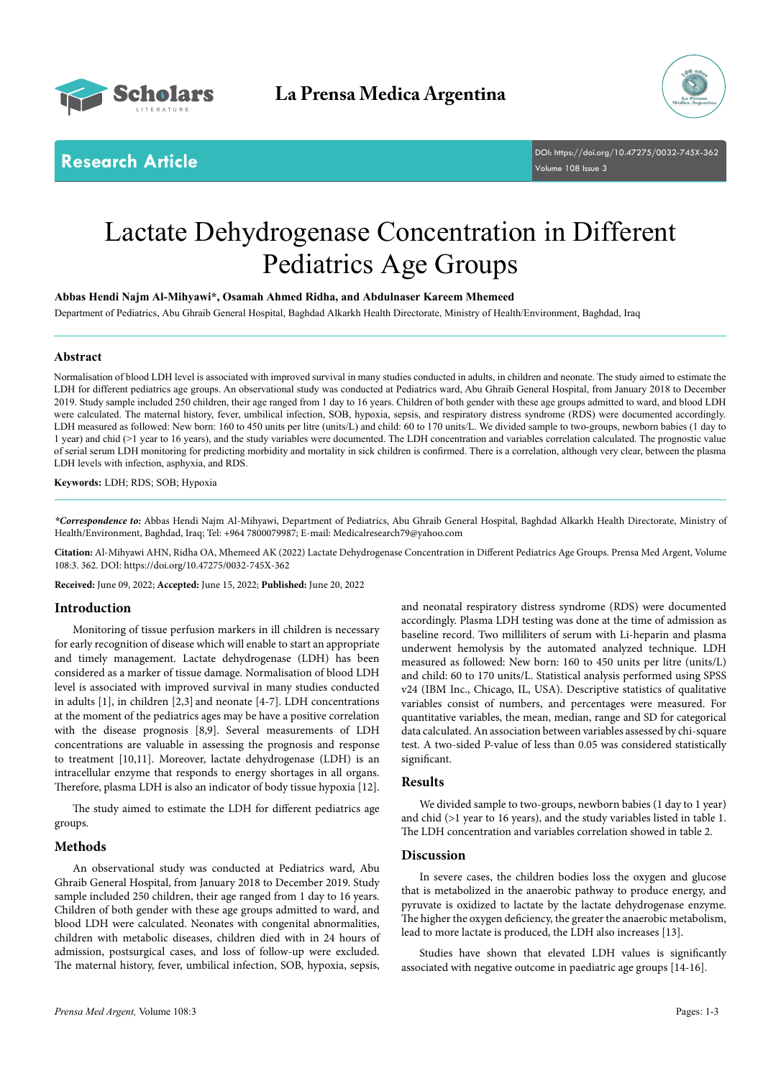



**Research Article** DOI: [https://doi.org/10.47275/0032-745X-3](https://doi.org/10.47275/0032-745X-362)62 Volume 108 Issue 3

# Lactate Dehydrogenase Concentration in Different Pediatrics Age Groups

**Abbas Hendi Najm Al-Mihyawi\*, Osamah Ahmed Ridha, and Abdulnaser Kareem Mhemeed**

Department of Pediatrics, Abu Ghraib General Hospital, Baghdad Alkarkh Health Directorate, Ministry of Health/Environment, Baghdad, Iraq

## **Abstract**

Normalisation of blood LDH level is associated with improved survival in many studies conducted in adults, in children and neonate. The study aimed to estimate the LDH for different pediatrics age groups. An observational study was conducted at Pediatrics ward, Abu Ghraib General Hospital, from January 2018 to December 2019. Study sample included 250 children, their age ranged from 1 day to 16 years. Children of both gender with these age groups admitted to ward, and blood LDH were calculated. The maternal history, fever, umbilical infection, SOB, hypoxia, sepsis, and respiratory distress syndrome (RDS) were documented accordingly. LDH measured as followed: New born: 160 to 450 units per litre (units/L) and child: 60 to 170 units/L. We divided sample to two-groups, newborn babies (1 day to 1 year) and chid (>1 year to 16 years), and the study variables were documented. The LDH concentration and variables correlation calculated. The prognostic value of serial serum LDH monitoring for predicting morbidity and mortality in sick children is confirmed. There is a correlation, although very clear, between the plasma LDH levels with infection, asphyxia, and RDS.

**Keywords:** LDH; RDS; SOB; Hypoxia

*\*Correspondence to:* Abbas Hendi Najm Al-Mihyawi, Department of Pediatrics, Abu Ghraib General Hospital, Baghdad Alkarkh Health Directorate, Ministry of Health/Environment, Baghdad, Iraq; Tel: +964 7800079987; E-mail: Medicalresearch79@yahoo.com

**Citation:** Al-Mihyawi AHN, Ridha OA, Mhemeed AK (2022) Lactate Dehydrogenase Concentration in Different Pediatrics Age Groups. Prensa Med Argent, Volume 108:3. 362. DOI: [https://doi.org/10.47275/0032-745X-3](https://doi.org/10.47275/0032-745X-362)62

**Received:** June 09, 2022; **Accepted:** June 15, 2022; **Published:** June 20, 2022

### **Introduction**

Monitoring of tissue perfusion markers in ill children is necessary for early recognition of disease which will enable to start an appropriate and timely management. Lactate dehydrogenase (LDH) has been considered as a marker of tissue damage. Normalisation of blood LDH level is associated with improved survival in many studies conducted in adults [1], in children [2,3] and neonate [4-7]. LDH concentrations at the moment of the pediatrics ages may be have a positive correlation with the disease prognosis [8,9]. Several measurements of LDH concentrations are valuable in assessing the prognosis and response to treatment [10,11]. Moreover, lactate dehydrogenase (LDH) is an intracellular enzyme that responds to energy shortages in all organs. Therefore, plasma LDH is also an indicator of body tissue hypoxia [12].

The study aimed to estimate the LDH for different pediatrics age groups.

#### **Methods**

An observational study was conducted at Pediatrics ward, Abu Ghraib General Hospital, from January 2018 to December 2019. Study sample included 250 children, their age ranged from 1 day to 16 years. Children of both gender with these age groups admitted to ward, and blood LDH were calculated. Neonates with congenital abnormalities, children with metabolic diseases, children died with in 24 hours of admission, postsurgical cases, and loss of follow-up were excluded. The maternal history, fever, umbilical infection, SOB, hypoxia, sepsis, and neonatal respiratory distress syndrome (RDS) were documented accordingly. Plasma LDH testing was done at the time of admission as baseline record. Two milliliters of serum with Li-heparin and plasma underwent hemolysis by the automated analyzed technique. LDH measured as followed: New born: 160 to 450 units per litre (units/L) and child: 60 to 170 units/L. Statistical analysis performed using SPSS v24 (IBM Inc., Chicago, IL, USA). Descriptive statistics of qualitative variables consist of numbers, and percentages were measured. For quantitative variables, the mean, median, range and SD for categorical data calculated. An association between variables assessed by chi-square test. A two-sided P-value of less than 0.05 was considered statistically significant.

### **Results**

We divided sample to two-groups, newborn babies (1 day to 1 year) and chid (>1 year to 16 years), and the study variables listed in table 1. The LDH concentration and variables correlation showed in table 2.

#### **Discussion**

In severe cases, the children bodies loss the oxygen and glucose that is metabolized in the anaerobic pathway to produce energy, and pyruvate is oxidized to lactate by the lactate dehydrogenase enzyme. The higher the oxygen deficiency, the greater the anaerobic metabolism, lead to more lactate is produced, the LDH also increases [13].

Studies have shown that elevated LDH values is significantly associated with negative outcome in paediatric age groups [14-16].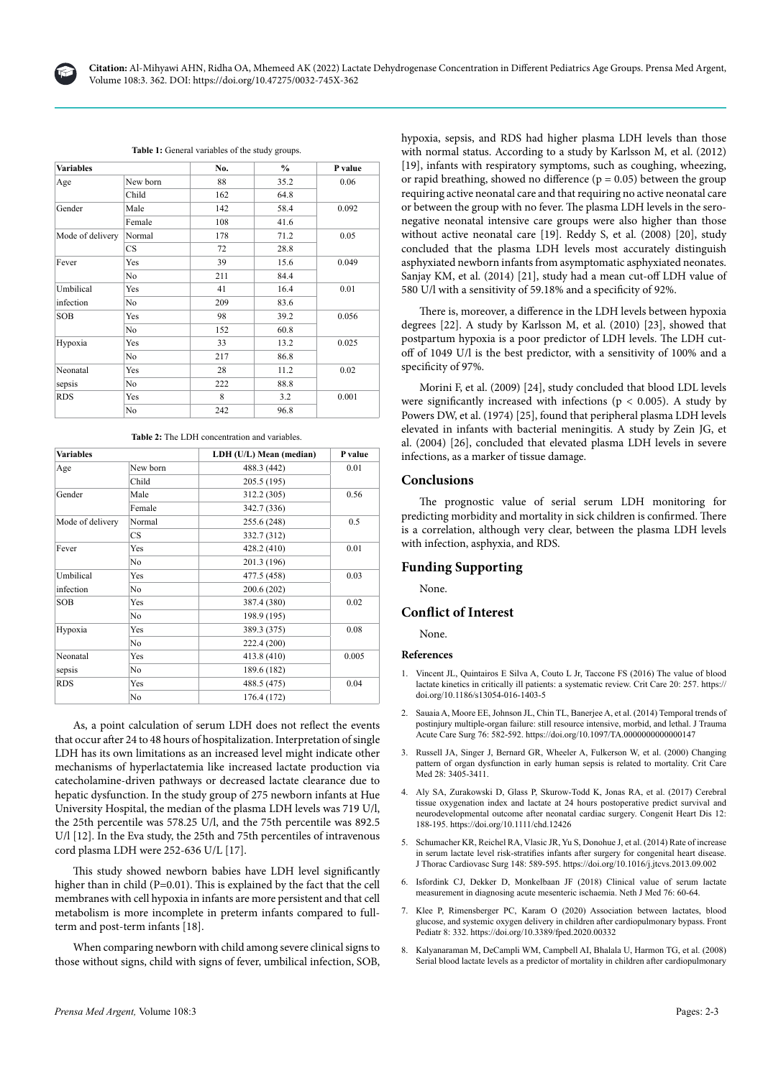

Table 1: General variables of the study groups.

| <b>Variables</b>   |           | No. | $\frac{6}{6}$ | P value |
|--------------------|-----------|-----|---------------|---------|
| Age                | New born  | 88  | 35.2          | 0.06    |
|                    | Child     | 162 | 64.8          |         |
| Gender             | Male      | 142 | 58.4          | 0.092   |
|                    | Female    | 108 | 41.6          |         |
| Mode of delivery   | Normal    | 178 | 71.2          | 0.05    |
|                    | <b>CS</b> | 72  | 28.8          |         |
| Fever              | Yes       | 39  | 15.6          | 0.049   |
|                    | No        | 211 | 84.4          |         |
| Umbilical          | Yes       | 41  | 16.4          | 0.01    |
| infection          | No        | 209 | 83.6          |         |
| <b>SOB</b>         | Yes       | 98  | 39.2          | 0.056   |
|                    | No        | 152 | 60.8          |         |
| Hypoxia            | Yes       | 33  | 13.2          | 0.025   |
|                    | No        | 217 | 86.8          |         |
| Neonatal<br>sepsis | Yes       | 28  | 11.2          | 0.02    |
|                    | No        | 222 | 88.8          |         |
| <b>RDS</b>         | Yes       | 8   | 3.2           | 0.001   |
|                    | No        | 242 | 96.8          |         |

**Table 2:** The LDH concentration and variables.

| <b>Variables</b>   |                | LDH (U/L) Mean (median) | P value |  |
|--------------------|----------------|-------------------------|---------|--|
| Age                | New born       | 488.3 (442)             | 0.01    |  |
|                    | Child          | 205.5 (195)             |         |  |
| Gender             | Male           | 312.2 (305)             | 0.56    |  |
|                    | Female         | 342.7 (336)             |         |  |
| Mode of delivery   | Normal         | 255.6 (248)             | 0.5     |  |
|                    | CS.            | 332.7 (312)             |         |  |
| Fever              | Yes            | 428.2 (410)             | 0.01    |  |
|                    | N <sub>0</sub> | 201.3 (196)             |         |  |
| Umbilical          | Yes            | 477.5 (458)             | 0.03    |  |
| infection          | N <sub>0</sub> | 200.6 (202)             |         |  |
| <b>SOB</b>         | Yes            | 387.4 (380)             | 0.02    |  |
|                    | N <sub>0</sub> | 198.9 (195)             |         |  |
| Hypoxia            | Yes            | 389.3 (375)             | 0.08    |  |
|                    | No             | 222.4 (200)             |         |  |
| Neonatal<br>sepsis | Yes            | 413.8 (410)             | 0.005   |  |
|                    | No             | 189.6 (182)             |         |  |
| <b>RDS</b>         | Yes            | 488.5 (475)             | 0.04    |  |
|                    | No             | 176.4 (172)             |         |  |

As, a point calculation of serum LDH does not reflect the events that occur after 24 to 48 hours of hospitalization. Interpretation of single LDH has its own limitations as an increased level might indicate other mechanisms of hyperlactatemia like increased lactate production via catecholamine-driven pathways or decreased lactate clearance due to hepatic dysfunction. In the study group of 275 newborn infants at Hue University Hospital, the median of the plasma LDH levels was 719 U/l, the 25th percentile was 578.25 U/l, and the 75th percentile was 892.5 U/l [12]. In the Eva study, the 25th and 75th percentiles of intravenous cord plasma LDH were 252-636 U/L [17].

This study showed newborn babies have LDH level significantly higher than in child (P=0.01). This is explained by the fact that the cell membranes with cell hypoxia in infants are more persistent and that cell metabolism is more incomplete in preterm infants compared to fullterm and post-term infants [18].

When comparing newborn with child among severe clinical signs to those without signs, child with signs of fever, umbilical infection, SOB, hypoxia, sepsis, and RDS had higher plasma LDH levels than those with normal status. According to a study by Karlsson M, et al. (2012) [19], infants with respiratory symptoms, such as coughing, wheezing, or rapid breathing, showed no difference ( $p = 0.05$ ) between the group requiring active neonatal care and that requiring no active neonatal care or between the group with no fever. The plasma LDH levels in the seronegative neonatal intensive care groups were also higher than those without active neonatal care [19]. Reddy S, et al. (2008) [20], study concluded that the plasma LDH levels most accurately distinguish asphyxiated newborn infants from asymptomatic asphyxiated neonates. Sanjay KM, et al. (2014) [21], study had a mean cut-off LDH value of 580 U/l with a sensitivity of 59.18% and a specificity of 92%.

There is, moreover, a difference in the LDH levels between hypoxia degrees [22]. A study by Karlsson M, et al. (2010) [23], showed that postpartum hypoxia is a poor predictor of LDH levels. The LDH cutoff of 1049 U/l is the best predictor, with a sensitivity of 100% and a specificity of 97%.

Morini F, et al. (2009) [24], study concluded that blood LDL levels were significantly increased with infections ( $p < 0.005$ ). A study by Powers DW, et al. (1974) [25], found that peripheral plasma LDH levels elevated in infants with bacterial meningitis. A study by Zein JG, et al. (2004) [26], concluded that elevated plasma LDH levels in severe infections, as a marker of tissue damage.

#### **Conclusions**

The prognostic value of serial serum LDH monitoring for predicting morbidity and mortality in sick children is confirmed. There is a correlation, although very clear, between the plasma LDH levels with infection, asphyxia, and RDS.

# **Funding Supporting**

None.

#### **Conflict of Interest**

None.

**References**

- 1. [Vincent JL, Quintairos E Silva A, Couto L Jr, Taccone FS \(2016\) The value of blood](https://link.springer.com/article/10.1186/s13054-016-1403-5)  [lactate kinetics in critically ill patients: a systematic review. Crit Care 20: 257.](https://link.springer.com/article/10.1186/s13054-016-1403-5) [https://](https://doi.org/10.1186/s13054-016-1403-5) [doi.org/10.1186/s13054-016-1403-5](https://doi.org/10.1186/s13054-016-1403-5)
- 2. [Sauaia A, Moore EE, Johnson JL, Chin TL, Banerjee A, et al. \(2014\) Temporal trends of](https://www.ncbi.nlm.nih.gov/pmc/articles/PMC4116088/)  [postinjury multiple-organ failure: still resource intensive, morbid, and lethal. J Trauma](https://www.ncbi.nlm.nih.gov/pmc/articles/PMC4116088/)  [Acute Care Surg 76: 582-592.](https://www.ncbi.nlm.nih.gov/pmc/articles/PMC4116088/) <https://doi.org/10.1097/TA.0000000000000147>
- 3. [Russell JA, Singer J, Bernard GR, Wheeler A, Fulkerson W, et al. \(2000\) Changing](https://journals.lww.com/ccmjournal/Abstract/2000/10000/Changing_pattern_of_organ_dysfunction_in_early.5.aspx)  [pattern of organ dysfunction in early human sepsis is related to mortality. Crit Care](https://journals.lww.com/ccmjournal/Abstract/2000/10000/Changing_pattern_of_organ_dysfunction_in_early.5.aspx)  Med 28: 3405-3411
- 4. [Aly SA, Zurakowski D, Glass P, Skurow-Todd K, Jonas RA, et al. \(2017\) Cerebral](https://onlinelibrary.wiley.com/doi/abs/10.1111/chd.12426)  [tissue oxygenation index and lactate at 24 hours postoperative predict survival and](https://onlinelibrary.wiley.com/doi/abs/10.1111/chd.12426)  [neurodevelopmental outcome after neonatal cardiac surgery. Congenit Heart Dis 12:](https://onlinelibrary.wiley.com/doi/abs/10.1111/chd.12426)  [188-195.](https://onlinelibrary.wiley.com/doi/abs/10.1111/chd.12426) <https://doi.org/10.1111/chd.12426>
- 5. [Schumacher KR, Reichel RA, Vlasic JR, Yu S, Donohue J, et al. \(2014\) Rate of increase](https://www.sciencedirect.com/science/article/pii/S0022522313009951)  in serum lactate level risk-stratifies infants after surgery for congenital heart disease [J Thorac Cardiovasc Surg 148: 589-595.](https://www.sciencedirect.com/science/article/pii/S0022522313009951) <https://doi.org/10.1016/j.jtcvs.2013.09.002>
- 6. [Isfordink CJ, Dekker D, Monkelbaan JF \(2018\) Clinical value of serum lactate](https://www.njmonline.nl/getpdf.php?t=i&id=213#page=13)  [measurement in diagnosing acute mesenteric ischaemia. Neth J Med 76: 60-64.](https://www.njmonline.nl/getpdf.php?t=i&id=213#page=13)
- 7. [Klee P, Rimensberger PC, Karam O \(2020\) Association between lactates, blood](https://www.frontiersin.org/articles/10.3389/fped.2020.00332/full)  [glucose, and systemic oxygen delivery in children after cardiopulmonary bypass. Front](https://www.frontiersin.org/articles/10.3389/fped.2020.00332/full)  [Pediatr 8: 332.](https://www.frontiersin.org/articles/10.3389/fped.2020.00332/full) <https://doi.org/10.3389/fped.2020.00332>
- 8. [Kalyanaraman M, DeCampli WM, Campbell AI, Bhalala U, Harmon TG, et al. \(2008\)](https://journals.lww.com/pccmjournal/Abstract/2008/05000/Serial_blood_lactate_levels_as_a_predictor_of.7.aspx)  [Serial blood lactate levels as a predictor of mortality in children after cardiopulmonary](https://journals.lww.com/pccmjournal/Abstract/2008/05000/Serial_blood_lactate_levels_as_a_predictor_of.7.aspx)